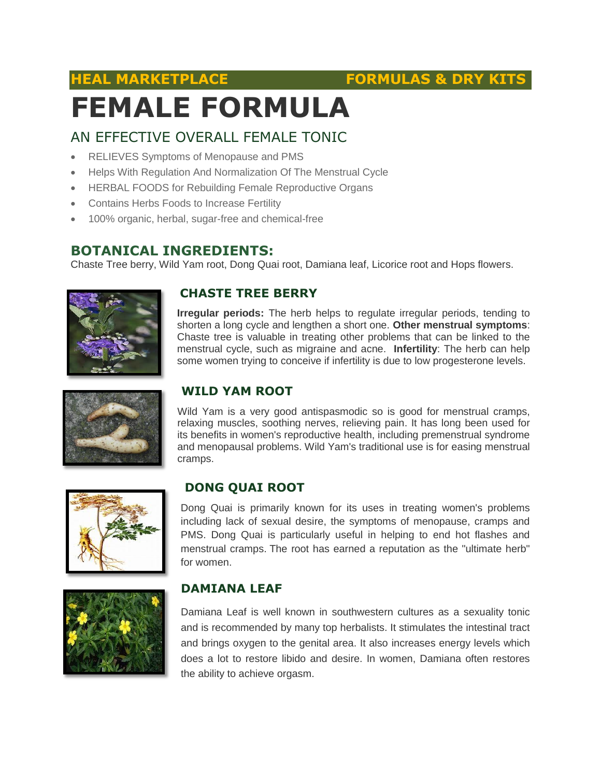### **HEAL MARKETPLACE FORMULAS & DRY KITS**

# **FEMALE FORMULA**

#### AN EFFECTIVE OVERALL FEMALE TONIC

- RELIEVES Symptoms of Menopause and PMS
- Helps With Regulation And Normalization Of The Menstrual Cycle
- HERBAL FOODS for Rebuilding Female Reproductive Organs
- Contains Herbs Foods to Increase Fertility
- 100% organic, herbal, sugar-free and chemical-free

#### **BOTANICAL INGREDIENTS:**

Chaste Tree berry, Wild Yam root, Dong Quai root, Damiana leaf, Licorice root and Hops flowers.



#### **CHASTE TREE BERRY**

**Irregular periods:** The herb helps to regulate irregular periods, tending to shorten a long cycle and lengthen a short one. **Other menstrual symptoms**: Chaste tree is valuable in treating other problems that can be linked to the menstrual cycle, such as migraine and acne. **Infertility**: The herb can help some women trying to conceive if infertility is due to low progesterone levels.



#### **WILD YAM ROOT**

Wild Yam is a very good antispasmodic so is good for menstrual cramps, relaxing muscles, soothing nerves, relieving pain. It has long been used for its benefits in women's reproductive health, including premenstrual syndrome and menopausal problems. Wild Yam's traditional use is for easing menstrual cramps.



#### **DONG QUAI ROOT**

Dong Quai is primarily known for its uses in treating women's problems including lack of sexual desire, the symptoms of menopause, cramps and PMS. Dong Quai is particularly useful in helping to end hot flashes and menstrual cramps. The root has earned a reputation as the "ultimate herb" for women.



#### **DAMIANA LEAF**

Damiana Leaf is well known in southwestern cultures as a sexuality tonic and is recommended by many top herbalists. It stimulates the intestinal tract and brings oxygen to the genital area. It also increases energy levels which does a lot to restore libido and desire. In women, Damiana often restores the ability to achieve orgasm.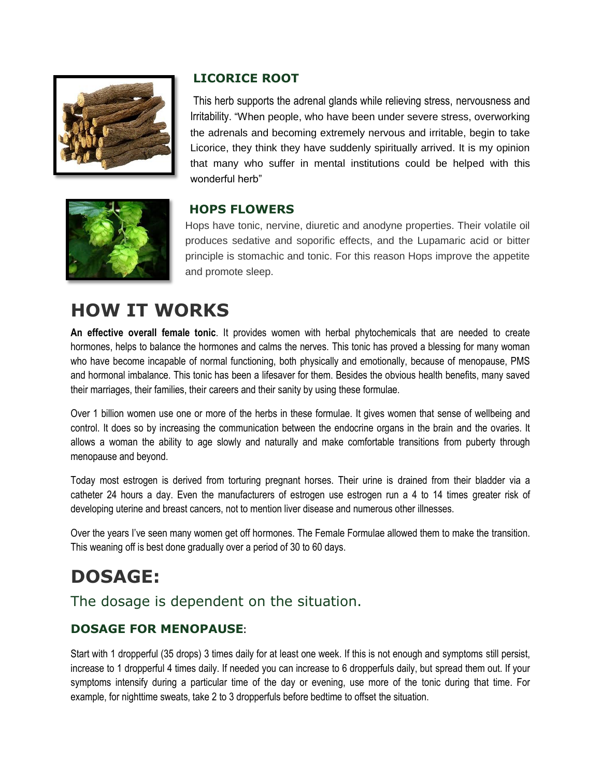

#### **LICORICE ROOT**

This herb supports the adrenal glands while relieving stress, nervousness and Irritability. "When people, who have been under severe stress, overworking the adrenals and becoming extremely nervous and irritable, begin to take Licorice, they think they have suddenly spiritually arrived. It is my opinion that many who suffer in mental institutions could be helped with this wonderful herb"



#### **HOPS FLOWERS**

Hops have tonic, nervine, diuretic and anodyne properties. Their volatile oil produces sedative and soporific effects, and the Lupamaric acid or bitter principle is stomachic and tonic. For this reason Hops improve the appetite and promote sleep.

## **HOW IT WORKS**

**An effective overall female tonic**. It provides women with herbal phytochemicals that are needed to create hormones, helps to balance the hormones and calms the nerves. This tonic has proved a blessing for many woman who have become incapable of normal functioning, both physically and emotionally, because of menopause, PMS and hormonal imbalance. This tonic has been a lifesaver for them. Besides the obvious health benefits, many saved their marriages, their families, their careers and their sanity by using these formulae.

Over 1 billion women use one or more of the herbs in these formulae. It gives women that sense of wellbeing and control. It does so by increasing the communication between the endocrine organs in the brain and the ovaries. It allows a woman the ability to age slowly and naturally and make comfortable transitions from puberty through menopause and beyond.

Today most estrogen is derived from torturing pregnant horses. Their urine is drained from their bladder via a catheter 24 hours a day. Even the manufacturers of estrogen use estrogen run a 4 to 14 times greater risk of developing uterine and breast cancers, not to mention liver disease and numerous other illnesses.

Over the years I've seen many women get off hormones. The Female Formulae allowed them to make the transition. This weaning off is best done gradually over a period of 30 to 60 days.

# **DOSAGE:**

The dosage is dependent on the situation.

#### **DOSAGE FOR MENOPAUSE:**

Start with 1 dropperful (35 drops) 3 times daily for at least one week. If this is not enough and symptoms still persist, increase to 1 dropperful 4 times daily. If needed you can increase to 6 dropperfuls daily, but spread them out. If your symptoms intensify during a particular time of the day or evening, use more of the tonic during that time. For example, for nighttime sweats, take 2 to 3 dropperfuls before bedtime to offset the situation.